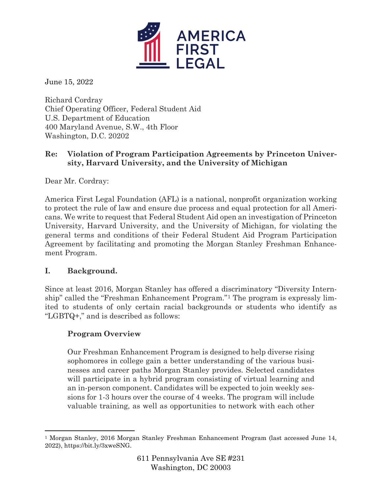

June 15, 2022

Richard Cordray Chief Operating Officer, Federal Student Aid U.S. Department of Education 400 Maryland Avenue, S.W., 4th Floor Washington, D.C. 20202

# **Re: Violation of Program Participation Agreements by Princeton University, Harvard University, and the University of Michigan**

Dear Mr. Cordray:

America First Legal Foundation (AFL) is a national, nonprofit organization working to protect the rule of law and ensure due process and equal protection for all Americans. We write to request that Federal Student Aid open an investigation of Princeton University, Harvard University, and the University of Michigan, for violating the general terms and conditions of their Federal Student Aid Program Participation Agreement by facilitating and promoting the Morgan Stanley Freshman Enhancement Program.

## **I. Background.**

Since at least 2016, Morgan Stanley has offered a discriminatory "Diversity Internship" called the "Freshman Enhancement Program."[1](#page-0-0) The program is expressly limited to students of only certain racial backgrounds or students who identify as "LGBTQ+," and is described as follows:

## **Program Overview**

Our Freshman Enhancement Program is designed to help diverse rising sophomores in college gain a better understanding of the various businesses and career paths Morgan Stanley provides. Selected candidates will participate in a hybrid program consisting of virtual learning and an in-person component. Candidates will be expected to join weekly sessions for 1-3 hours over the course of 4 weeks. The program will include valuable training, as well as opportunities to network with each other

<span id="page-0-0"></span><sup>1</sup> Morgan Stanley, 2016 Morgan Stanley Freshman Enhancement Program (last accessed June 14, 2022), https://bit.ly/3xweSNG.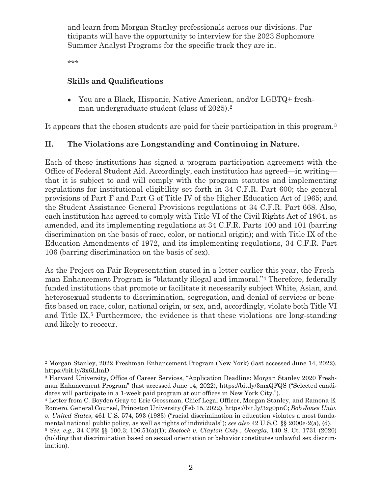and learn from Morgan Stanley professionals across our divisions. Participants will have the opportunity to interview for the 2023 Sophomore Summer Analyst Programs for the specific track they are in.

\*\*\*

### **Skills and Qualifications**

● You are a Black, Hispanic, Native American, and/or LGBTQ+ fresh-man undergraduate student (class of [2](#page-1-0)025).<sup>2</sup>

It appears that the chosen students are paid for their participation in this program.<sup>[3](#page-1-1)</sup>

## **II. The Violations are Longstanding and Continuing in Nature.**

Each of these institutions has signed a program participation agreement with the Office of Federal Student Aid. Accordingly, each institution has agreed—in writing that it is subject to and will comply with the program statutes and implementing regulations for institutional eligibility set forth in 34 C.F.R. Part 600; the general provisions of Part F and Part G of Title IV of the Higher Education Act of 1965; and the Student Assistance General Provisions regulations at 34 C.F.R. Part 668. Also, each institution has agreed to comply with Title VI of the Civil Rights Act of 1964, as amended, and its implementing regulations at 34 C.F.R. Parts 100 and 101 (barring discrimination on the basis of race, color, or national origin); and with Title IX of the Education Amendments of 1972, and its implementing regulations, 34 C.F.R. Part 106 (barring discrimination on the basis of sex).

As the Project on Fair Representation stated in a letter earlier this year, the Freshman Enhancement Program is "blatantly illegal and immoral."[4](#page-1-2) Therefore, federally funded institutions that promote or facilitate it necessarily subject White, Asian, and heterosexual students to discrimination, segregation, and denial of services or benefits based on race, color, national origin, or sex, and, accordingly, violate both Title VI and Title IX.[5](#page-1-3) Furthermore, the evidence is that these violations are long-standing and likely to reoccur.

<span id="page-1-0"></span><sup>2</sup> Morgan Stanley, 2022 Freshman Enhancement Program (New York) (last accessed June 14, 2022), https://bit.ly/3x6LImD.

<span id="page-1-1"></span><sup>3</sup> Harvard University, Office of Career Services, "Application Deadline: Morgan Stanley 2020 Freshman Enhancement Program" (last accessed June 14, 2022), https://bit.ly/3mxQFQS ("Selected candidates will participate in a 1-week paid program at our offices in New York City.").

<span id="page-1-2"></span><sup>4</sup> Letter from C. Boyden Gray to Eric Grossman, Chief Legal Officer, Morgan Stanley, and Ramona E. Romero, General Counsel, Princeton University (Feb 15, 2022), https://bit.ly/3xg0pnC; *Bob Jones Univ. v. United States*, 461 U.S. 574, 593 (1983) ("racial discrimination in education violates a most fundamental national public policy, as well as rights of individuals"); *see also* 42 U.S.C. §§ 2000e-2(a), (d).

<span id="page-1-3"></span><sup>5</sup> *See, e.g.,* 34 CFR §§ 100.3; 106.51(a)(1); *Bostock v. Clayton Cnty., Georgia*, 140 S. Ct. 1731 (2020) (holding that discrimination based on sexual orientation or behavior constitutes unlawful sex discrimination).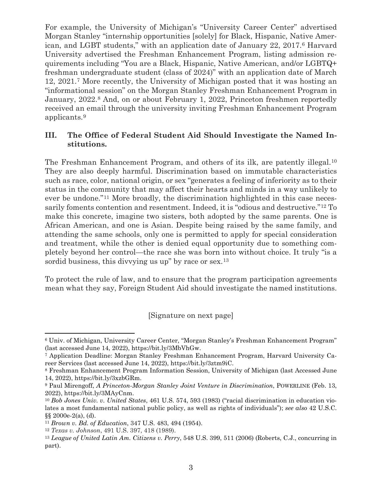For example, the University of Michigan's "University Career Center" advertised Morgan Stanley "internship opportunities [solely] for Black, Hispanic, Native American, and LGBT students," with an application date of January 22, 2017.[6](#page-2-0) Harvard University advertised the Freshman Enhancement Program, listing admission requirements including "You are a Black, Hispanic, Native American, and/or LGBTQ+ freshman undergraduate student (class of 2024)" with an application date of March 12, 2021[.7](#page-2-1) More recently, the University of Michigan posted that it was hosting an "informational session" on the Morgan Stanley Freshman Enhancement Program in January, 2022.<sup>8</sup> And, on or about February 1, 2022, Princeton freshmen reportedly received an email through the university inviting Freshman Enhancement Program applicants.[9](#page-2-3)

### **III. The Office of Federal Student Aid Should Investigate the Named Institutions.**

The Freshman Enhancement Program, and others of its ilk, are patently illegal.[10](#page-2-4) They are also deeply harmful. Discrimination based on immutable characteristics such as race, color, national origin, or sex "generates a feeling of inferiority as to their status in the community that may affect their hearts and minds in a way unlikely to ever be undone."[11](#page-2-5) More broadly, the discrimination highlighted in this case necessarily foments contention and resentment. Indeed, it is "odious and destructive."[12](#page-2-6) To make this concrete, imagine two sisters, both adopted by the same parents. One is African American, and one is Asian. Despite being raised by the same family, and attending the same schools, only one is permitted to apply for special consideration and treatment, while the other is denied equal opportunity due to something completely beyond her control—the race she was born into without choice. It truly "is a sordid business, this dividing us up" by race or sex.<sup>[13](#page-2-7)</sup>

To protect the rule of law, and to ensure that the program participation agreements mean what they say, Foreign Student Aid should investigate the named institutions.

[Signature on next page]

<span id="page-2-0"></span><sup>6</sup> Univ. of Michigan, University Career Center, "Morgan Stanley's Freshman Enhancement Program" (last accessed June 14, 2022), https://bit.ly/3MbVhGw.

<span id="page-2-1"></span><sup>7</sup> Application Deadline: Morgan Stanley Freshman Enhancement Program, Harvard University Career Services (last accessed June 14, 2022), https://bit.ly/3ztm9iC.

<span id="page-2-2"></span><sup>8</sup> Freshman Enhancement Program Information Session, University of Michigan (last Accessed June 14, 2022), https://bit.ly/3xzbGRm.

<span id="page-2-3"></span><sup>9</sup> Paul Mirengoff, *A Princeton-Morgan Stanley Joint Venture in Discrimination*, POWERLINE (Feb. 13, 2022), https://bit.ly/3MAyCnm.

<span id="page-2-4"></span><sup>10</sup> *Bob Jones Univ. v. United States*, 461 U.S. 574, 593 (1983) ("racial discrimination in education violates a most fundamental national public policy, as well as rights of individuals"); *see also* 42 U.S.C. §§ 2000e-2(a), (d).

<span id="page-2-5"></span><sup>11</sup> *Brown v. Bd. of Education*, 347 U.S. 483, 494 (1954).

<span id="page-2-6"></span><sup>12</sup> *Texas v. Johnson*, 491 U.S. 397, 418 (1989).

<span id="page-2-7"></span><sup>13</sup> *League of United Latin Am. Citizens v. Perry*, 548 U.S. 399, 511 (2006) (Roberts, C.J., concurring in part).